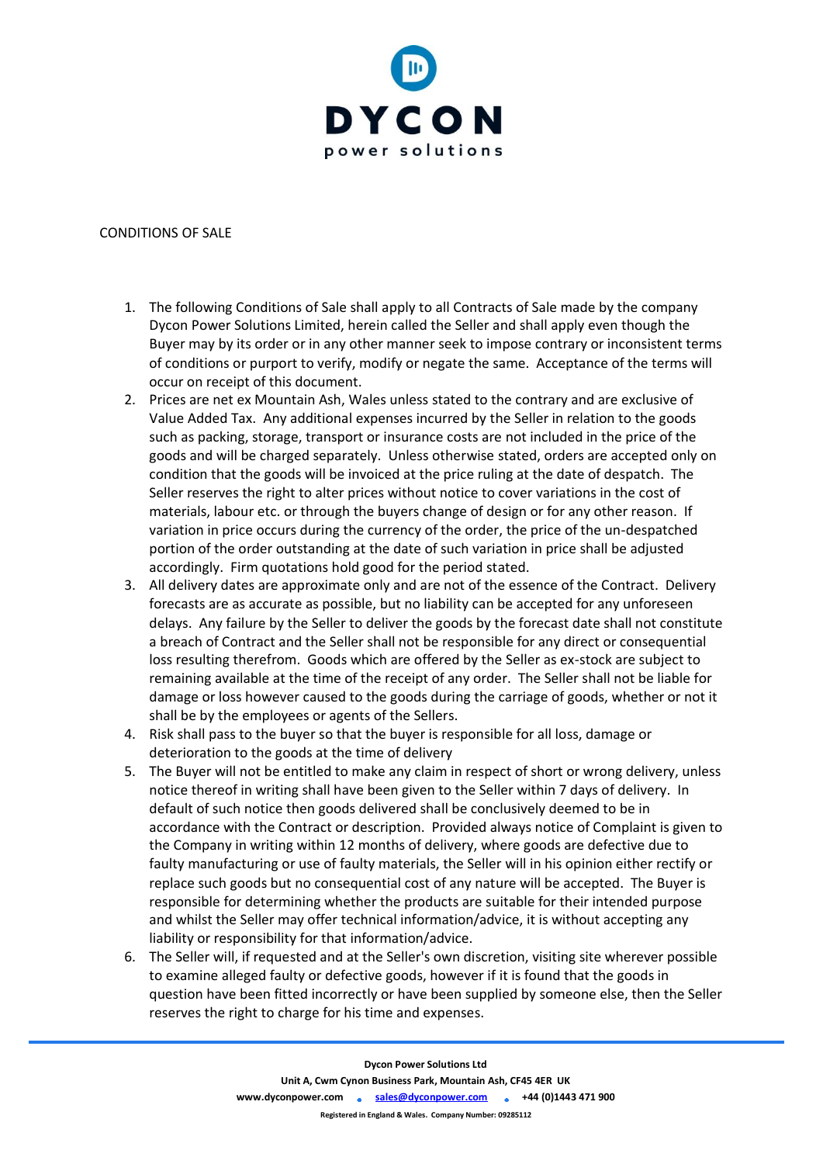

## CONDITIONS OF SALE

- 1. The following Conditions of Sale shall apply to all Contracts of Sale made by the company Dycon Power Solutions Limited, herein called the Seller and shall apply even though the Buyer may by its order or in any other manner seek to impose contrary or inconsistent terms of conditions or purport to verify, modify or negate the same. Acceptance of the terms will occur on receipt of this document.
- 2. Prices are net ex Mountain Ash, Wales unless stated to the contrary and are exclusive of Value Added Tax. Any additional expenses incurred by the Seller in relation to the goods such as packing, storage, transport or insurance costs are not included in the price of the goods and will be charged separately. Unless otherwise stated, orders are accepted only on condition that the goods will be invoiced at the price ruling at the date of despatch. The Seller reserves the right to alter prices without notice to cover variations in the cost of materials, labour etc. or through the buyers change of design or for any other reason. If variation in price occurs during the currency of the order, the price of the un-despatched portion of the order outstanding at the date of such variation in price shall be adjusted accordingly. Firm quotations hold good for the period stated.
- 3. All delivery dates are approximate only and are not of the essence of the Contract. Delivery forecasts are as accurate as possible, but no liability can be accepted for any unforeseen delays. Any failure by the Seller to deliver the goods by the forecast date shall not constitute a breach of Contract and the Seller shall not be responsible for any direct or consequential loss resulting therefrom. Goods which are offered by the Seller as ex-stock are subject to remaining available at the time of the receipt of any order. The Seller shall not be liable for damage or loss however caused to the goods during the carriage of goods, whether or not it shall be by the employees or agents of the Sellers.
- 4. Risk shall pass to the buyer so that the buyer is responsible for all loss, damage or deterioration to the goods at the time of delivery
- 5. The Buyer will not be entitled to make any claim in respect of short or wrong delivery, unless notice thereof in writing shall have been given to the Seller within 7 days of delivery. In default of such notice then goods delivered shall be conclusively deemed to be in accordance with the Contract or description. Provided always notice of Complaint is given to the Company in writing within 12 months of delivery, where goods are defective due to faulty manufacturing or use of faulty materials, the Seller will in his opinion either rectify or replace such goods but no consequential cost of any nature will be accepted. The Buyer is responsible for determining whether the products are suitable for their intended purpose and whilst the Seller may offer technical information/advice, it is without accepting any liability or responsibility for that information/advice.
- 6. The Seller will, if requested and at the Seller's own discretion, visiting site wherever possible to examine alleged faulty or defective goods, however if it is found that the goods in question have been fitted incorrectly or have been supplied by someone else, then the Seller reserves the right to charge for his time and expenses.